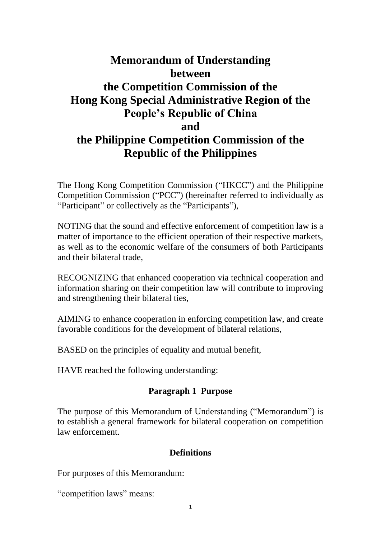# **Memorandum of Understanding between the Competition Commission of the Hong Kong Special Administrative Region of the People's Republic of China and the Philippine Competition Commission of the Republic of the Philippines**

The Hong Kong Competition Commission ("HKCC") and the Philippine Competition Commission ("PCC") (hereinafter referred to individually as "Participant" or collectively as the "Participants"),

NOTING that the sound and effective enforcement of competition law is a matter of importance to the efficient operation of their respective markets, as well as to the economic welfare of the consumers of both Participants and their bilateral trade,

RECOGNIZING that enhanced cooperation via technical cooperation and information sharing on their competition law will contribute to improving and strengthening their bilateral ties,

AIMING to enhance cooperation in enforcing competition law, and create favorable conditions for the development of bilateral relations,

BASED on the principles of equality and mutual benefit,

HAVE reached the following understanding:

## **Paragraph 1 Purpose**

The purpose of this Memorandum of Understanding ("Memorandum") is to establish a general framework for bilateral cooperation on competition law enforcement.

#### **Definitions**

For purposes of this Memorandum:

"competition laws" means: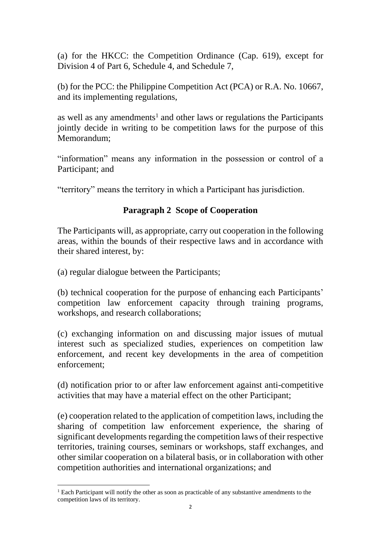(a) for the HKCC: the Competition Ordinance (Cap. 619), except for Division 4 of Part 6, Schedule 4, and Schedule 7,

(b) for the PCC: the Philippine Competition Act (PCA) or R.A. No. 10667, and its implementing regulations,

as well as any amendments<sup>1</sup> and other laws or regulations the Participants jointly decide in writing to be competition laws for the purpose of this Memorandum;

"information" means any information in the possession or control of a Participant; and

"territory" means the territory in which a Participant has jurisdiction.

## **Paragraph 2 Scope of Cooperation**

The Participants will, as appropriate, carry out cooperation in the following areas, within the bounds of their respective laws and in accordance with their shared interest, by:

(a) regular dialogue between the Participants;

 $\overline{a}$ 

(b) technical cooperation for the purpose of enhancing each Participants' competition law enforcement capacity through training programs, workshops, and research collaborations;

(c) exchanging information on and discussing major issues of mutual interest such as specialized studies, experiences on competition law enforcement, and recent key developments in the area of competition enforcement;

(d) notification prior to or after law enforcement against anti-competitive activities that may have a material effect on the other Participant;

(e) cooperation related to the application of competition laws, including the sharing of competition law enforcement experience, the sharing of significant developments regarding the competition laws of their respective territories, training courses, seminars or workshops, staff exchanges, and other similar cooperation on a bilateral basis, or in collaboration with other competition authorities and international organizations; and

<sup>&</sup>lt;sup>1</sup> Each Participant will notify the other as soon as practicable of any substantive amendments to the competition laws of its territory.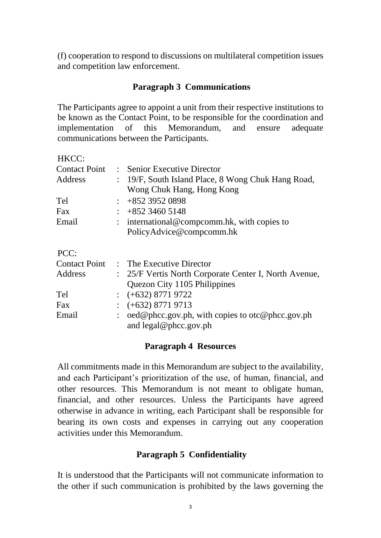(f) cooperation to respond to discussions on multilateral competition issues and competition law enforcement.

#### **Paragraph 3 Communications**

The Participants agree to appoint a unit from their respective institutions to be known as the Contact Point, to be responsible for the coordination and implementation of this Memorandum, and ensure adequate communications between the Participants.

| HKCC:                |                |                                                                                   |
|----------------------|----------------|-----------------------------------------------------------------------------------|
| <b>Contact Point</b> |                | $\therefore$ Senior Executive Director                                            |
| Address              |                | : 19/F, South Island Place, 8 Wong Chuk Hang Road,                                |
|                      |                | Wong Chuk Hang, Hong Kong                                                         |
| Tel                  | $\ddot{\cdot}$ | +852 3952 0898                                                                    |
| Fax                  |                | $+85234605148$                                                                    |
| Email                |                | : international@compcomm.hk, with copies to                                       |
|                      |                | PolicyAdvice@compcomm.hk                                                          |
| PCC:                 |                |                                                                                   |
|                      |                | Contact Point : The Executive Director                                            |
| Address              |                | : 25/F Vertis North Corporate Center I, North Avenue,                             |
|                      |                | Quezon City 1105 Philippines                                                      |
| Tel                  |                | $\div$ (+632) 8771 9722                                                           |
| Fax                  |                | $\div$ (+632) 8771 9713                                                           |
| Email                | $\ddot{\cdot}$ | oed@phcc.gov.ph, with copies to otc@phcc.gov.ph<br>and $\text{legal@phcc.gov.ph}$ |

#### **Paragraph 4 Resources**

All commitments made in this Memorandum are subject to the availability, and each Participant's prioritization of the use, of human, financial, and other resources. This Memorandum is not meant to obligate human, financial, and other resources. Unless the Participants have agreed otherwise in advance in writing, each Participant shall be responsible for bearing its own costs and expenses in carrying out any cooperation activities under this Memorandum.

#### **Paragraph 5 Confidentiality**

It is understood that the Participants will not communicate information to the other if such communication is prohibited by the laws governing the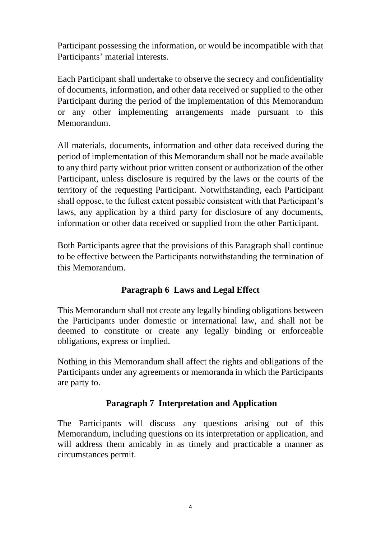Participant possessing the information, or would be incompatible with that Participants' material interests.

Each Participant shall undertake to observe the secrecy and confidentiality of documents, information, and other data received or supplied to the other Participant during the period of the implementation of this Memorandum or any other implementing arrangements made pursuant to this Memorandum.

All materials, documents, information and other data received during the period of implementation of this Memorandum shall not be made available to any third party without prior written consent or authorization of the other Participant, unless disclosure is required by the laws or the courts of the territory of the requesting Participant. Notwithstanding, each Participant shall oppose, to the fullest extent possible consistent with that Participant's laws, any application by a third party for disclosure of any documents, information or other data received or supplied from the other Participant.

Both Participants agree that the provisions of this Paragraph shall continue to be effective between the Participants notwithstanding the termination of this Memorandum.

# **Paragraph 6 Laws and Legal Effect**

This Memorandum shall not create any legally binding obligations between the Participants under domestic or international law, and shall not be deemed to constitute or create any legally binding or enforceable obligations, express or implied.

Nothing in this Memorandum shall affect the rights and obligations of the Participants under any agreements or memoranda in which the Participants are party to.

# **Paragraph 7 Interpretation and Application**

The Participants will discuss any questions arising out of this Memorandum, including questions on its interpretation or application, and will address them amicably in as timely and practicable a manner as circumstances permit.